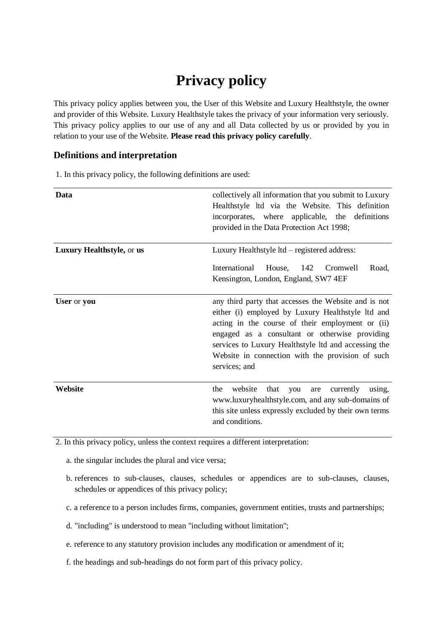# **Privacy policy**

This privacy policy applies between you, the User of this Website and Luxury Healthstyle, the owner and provider of this Website. Luxury Healthstyle takes the privacy of your information very seriously. This privacy policy applies to our use of any and all Data collected by us or provided by you in relation to your use of the Website. **Please read this privacy policy carefully**.

#### **Definitions and interpretation**

1. In this privacy policy, the following definitions are used:

| Data                      | collectively all information that you submit to Luxury<br>Healthstyle ltd via the Website. This definition<br>incorporates, where applicable, the definitions<br>provided in the Data Protection Act 1998;                                                                                                                                   |
|---------------------------|----------------------------------------------------------------------------------------------------------------------------------------------------------------------------------------------------------------------------------------------------------------------------------------------------------------------------------------------|
| Luxury Healthstyle, or us | Luxury Healthstyle ltd - registered address:                                                                                                                                                                                                                                                                                                 |
|                           | International<br>House,<br>142<br>Cromwell<br>Road,<br>Kensington, London, England, SW7 4EF                                                                                                                                                                                                                                                  |
| User or you               | any third party that accesses the Website and is not<br>either (i) employed by Luxury Healthstyle ltd and<br>acting in the course of their employment or (ii)<br>engaged as a consultant or otherwise providing<br>services to Luxury Healthstyle ltd and accessing the<br>Website in connection with the provision of such<br>services; and |
| Website                   | website<br>the<br>that<br>currently<br>you<br>using,<br>are<br>www.luxuryhealthstyle.com, and any sub-domains of<br>this site unless expressly excluded by their own terms<br>and conditions.                                                                                                                                                |

2. In this privacy policy, unless the context requires a different interpretation:

- a. the singular includes the plural and vice versa;
- b. references to sub-clauses, clauses, schedules or appendices are to sub-clauses, clauses, schedules or appendices of this privacy policy;
- c. a reference to a person includes firms, companies, government entities, trusts and partnerships;
- d. "including" is understood to mean "including without limitation";
- e. reference to any statutory provision includes any modification or amendment of it;
- f. the headings and sub-headings do not form part of this privacy policy.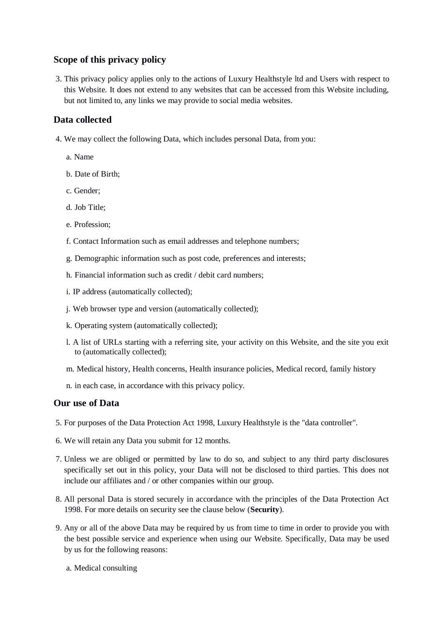## **Scope of this privacy policy**

3. This privacy policy applies only to the actions of Luxury Healthstyle ltd and Users with respect to this Website. It does not extend to any websites that can be accessed from this Website including, but not limited to, any links we may provide to social media websites.

## **Data collected**

- 4. We may collect the following Data, which includes personal Data, from you:
	- a. Name
	- b. Date of Birth;
	- c. Gender;
	- d. Job Title;
	- e. Profession;
	- f. Contact Information such as email addresses and telephone numbers;
	- g. Demographic information such as post code, preferences and interests;
	- h. Financial information such as credit / debit card numbers;
	- i. IP address (automatically collected);
	- j. Web browser type and version (automatically collected);
	- k. Operating system (automatically collected);
	- l. A list of URLs starting with a referring site, your activity on this Website, and the site you exit to (automatically collected);
	- m. Medical history, Health concerns, Health insurance policies, Medical record, family history
	- n. in each case, in accordance with this privacy policy.

### **Our use of Data**

- 5. For purposes of the Data Protection Act 1998, Luxury Healthstyle is the "data controller".
- 6. We will retain any Data you submit for 12 months.
- 7. Unless we are obliged or permitted by law to do so, and subject to any third party disclosures specifically set out in this policy, your Data will not be disclosed to third parties. This does not include our affiliates and / or other companies within our group.
- 8. All personal Data is stored securely in accordance with the principles of the Data Protection Act 1998. For more details on security see the clause below (**Security**).
- 9. Any or all of the above Data may be required by us from time to time in order to provide you with the best possible service and experience when using our Website. Specifically, Data may be used by us for the following reasons:
	- a. Medical consulting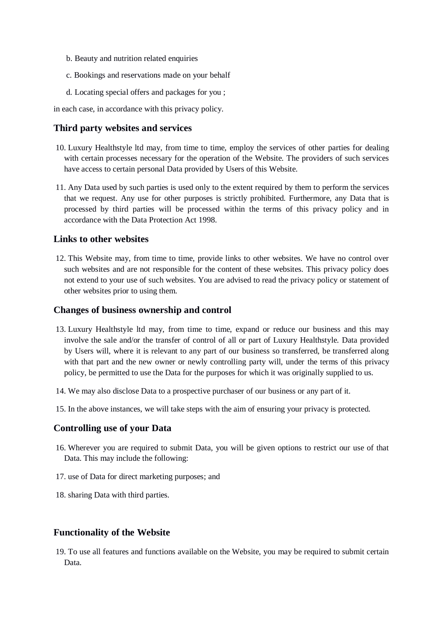- b. Beauty and nutrition related enquiries
- c. Bookings and reservations made on your behalf
- d. Locating special offers and packages for you ;

in each case, in accordance with this privacy policy.

#### **Third party websites and services**

- 10. Luxury Healthstyle ltd may, from time to time, employ the services of other parties for dealing with certain processes necessary for the operation of the Website. The providers of such services have access to certain personal Data provided by Users of this Website.
- 11. Any Data used by such parties is used only to the extent required by them to perform the services that we request. Any use for other purposes is strictly prohibited. Furthermore, any Data that is processed by third parties will be processed within the terms of this privacy policy and in accordance with the Data Protection Act 1998.

#### **Links to other websites**

12. This Website may, from time to time, provide links to other websites. We have no control over such websites and are not responsible for the content of these websites. This privacy policy does not extend to your use of such websites. You are advised to read the privacy policy or statement of other websites prior to using them.

#### **Changes of business ownership and control**

- 13. Luxury Healthstyle ltd may, from time to time, expand or reduce our business and this may involve the sale and/or the transfer of control of all or part of Luxury Healthstyle. Data provided by Users will, where it is relevant to any part of our business so transferred, be transferred along with that part and the new owner or newly controlling party will, under the terms of this privacy policy, be permitted to use the Data for the purposes for which it was originally supplied to us.
- 14. We may also disclose Data to a prospective purchaser of our business or any part of it.
- 15. In the above instances, we will take steps with the aim of ensuring your privacy is protected.

#### **Controlling use of your Data**

- 16. Wherever you are required to submit Data, you will be given options to restrict our use of that Data. This may include the following:
- 17. use of Data for direct marketing purposes; and
- 18. sharing Data with third parties.

#### **Functionality of the Website**

19. To use all features and functions available on the Website, you may be required to submit certain Data.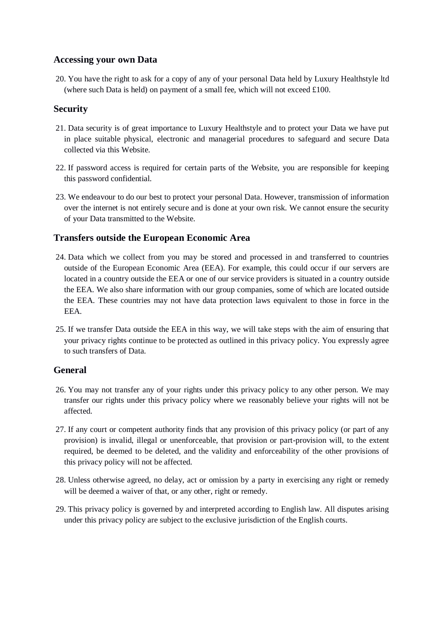## **Accessing your own Data**

20. You have the right to ask for a copy of any of your personal Data held by Luxury Healthstyle ltd (where such Data is held) on payment of a small fee, which will not exceed £100.

## **Security**

- 21. Data security is of great importance to Luxury Healthstyle and to protect your Data we have put in place suitable physical, electronic and managerial procedures to safeguard and secure Data collected via this Website.
- 22. If password access is required for certain parts of the Website, you are responsible for keeping this password confidential.
- 23. We endeavour to do our best to protect your personal Data. However, transmission of information over the internet is not entirely secure and is done at your own risk. We cannot ensure the security of your Data transmitted to the Website.

## **Transfers outside the European Economic Area**

- 24. Data which we collect from you may be stored and processed in and transferred to countries outside of the European Economic Area (EEA). For example, this could occur if our servers are located in a country outside the EEA or one of our service providers is situated in a country outside the EEA. We also share information with our group companies, some of which are located outside the EEA. These countries may not have data protection laws equivalent to those in force in the EEA.
- 25. If we transfer Data outside the EEA in this way, we will take steps with the aim of ensuring that your privacy rights continue to be protected as outlined in this privacy policy. You expressly agree to such transfers of Data.

## **General**

- 26. You may not transfer any of your rights under this privacy policy to any other person. We may transfer our rights under this privacy policy where we reasonably believe your rights will not be affected.
- 27. If any court or competent authority finds that any provision of this privacy policy (or part of any provision) is invalid, illegal or unenforceable, that provision or part-provision will, to the extent required, be deemed to be deleted, and the validity and enforceability of the other provisions of this privacy policy will not be affected.
- 28. Unless otherwise agreed, no delay, act or omission by a party in exercising any right or remedy will be deemed a waiver of that, or any other, right or remedy.
- 29. This privacy policy is governed by and interpreted according to English law. All disputes arising under this privacy policy are subject to the exclusive jurisdiction of the English courts.